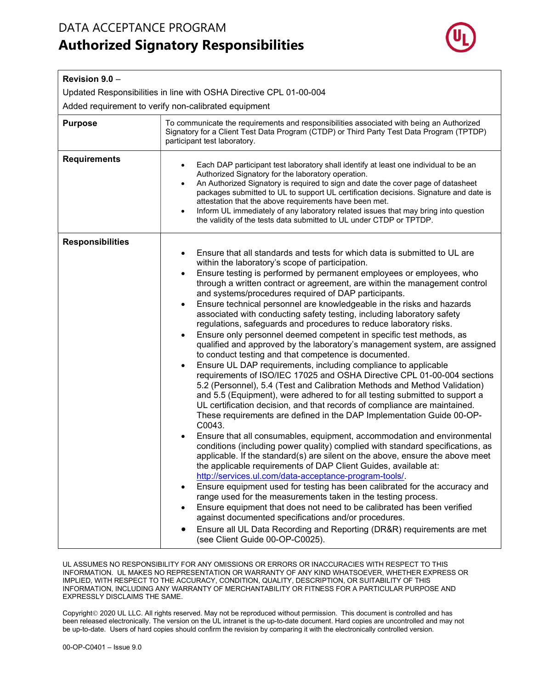## DATA ACCEPTANCE PROGRAM Authorized Signatory Responsibilities



| Revision 9.0 -                                                     |                                                                                                                                                                                                                                                                                                                                                                                                                                                                                                                                                                                                                                                                                                                                                                                                                                                                                                                                                                                                                                                                                                                                                                                                                                                                                                                                                                                                                                                                                                                                                                                                                                                                                                                                                                                                                                                                                                                                                                                                                                                                    |  |
|--------------------------------------------------------------------|--------------------------------------------------------------------------------------------------------------------------------------------------------------------------------------------------------------------------------------------------------------------------------------------------------------------------------------------------------------------------------------------------------------------------------------------------------------------------------------------------------------------------------------------------------------------------------------------------------------------------------------------------------------------------------------------------------------------------------------------------------------------------------------------------------------------------------------------------------------------------------------------------------------------------------------------------------------------------------------------------------------------------------------------------------------------------------------------------------------------------------------------------------------------------------------------------------------------------------------------------------------------------------------------------------------------------------------------------------------------------------------------------------------------------------------------------------------------------------------------------------------------------------------------------------------------------------------------------------------------------------------------------------------------------------------------------------------------------------------------------------------------------------------------------------------------------------------------------------------------------------------------------------------------------------------------------------------------------------------------------------------------------------------------------------------------|--|
| Updated Responsibilities in line with OSHA Directive CPL 01-00-004 |                                                                                                                                                                                                                                                                                                                                                                                                                                                                                                                                                                                                                                                                                                                                                                                                                                                                                                                                                                                                                                                                                                                                                                                                                                                                                                                                                                                                                                                                                                                                                                                                                                                                                                                                                                                                                                                                                                                                                                                                                                                                    |  |
| Added requirement to verify non-calibrated equipment               |                                                                                                                                                                                                                                                                                                                                                                                                                                                                                                                                                                                                                                                                                                                                                                                                                                                                                                                                                                                                                                                                                                                                                                                                                                                                                                                                                                                                                                                                                                                                                                                                                                                                                                                                                                                                                                                                                                                                                                                                                                                                    |  |
| <b>Purpose</b>                                                     | To communicate the requirements and responsibilities associated with being an Authorized<br>Signatory for a Client Test Data Program (CTDP) or Third Party Test Data Program (TPTDP)<br>participant test laboratory.                                                                                                                                                                                                                                                                                                                                                                                                                                                                                                                                                                                                                                                                                                                                                                                                                                                                                                                                                                                                                                                                                                                                                                                                                                                                                                                                                                                                                                                                                                                                                                                                                                                                                                                                                                                                                                               |  |
| <b>Requirements</b>                                                | Each DAP participant test laboratory shall identify at least one individual to be an<br>Authorized Signatory for the laboratory operation.<br>An Authorized Signatory is required to sign and date the cover page of datasheet<br>packages submitted to UL to support UL certification decisions. Signature and date is<br>attestation that the above requirements have been met.<br>Inform UL immediately of any laboratory related issues that may bring into question<br>$\bullet$<br>the validity of the tests data submitted to UL under CTDP or TPTDP.                                                                                                                                                                                                                                                                                                                                                                                                                                                                                                                                                                                                                                                                                                                                                                                                                                                                                                                                                                                                                                                                                                                                                                                                                                                                                                                                                                                                                                                                                                       |  |
| <b>Responsibilities</b>                                            | Ensure that all standards and tests for which data is submitted to UL are<br>within the laboratory's scope of participation.<br>Ensure testing is performed by permanent employees or employees, who<br>$\bullet$<br>through a written contract or agreement, are within the management control<br>and systems/procedures required of DAP participants.<br>Ensure technical personnel are knowledgeable in the risks and hazards<br>associated with conducting safety testing, including laboratory safety<br>regulations, safeguards and procedures to reduce laboratory risks.<br>Ensure only personnel deemed competent in specific test methods, as<br>qualified and approved by the laboratory's management system, are assigned<br>to conduct testing and that competence is documented.<br>Ensure UL DAP requirements, including compliance to applicable<br>$\bullet$<br>requirements of ISO/IEC 17025 and OSHA Directive CPL 01-00-004 sections<br>5.2 (Personnel), 5.4 (Test and Calibration Methods and Method Validation)<br>and 5.5 (Equipment), were adhered to for all testing submitted to support a<br>UL certification decision, and that records of compliance are maintained.<br>These requirements are defined in the DAP Implementation Guide 00-OP-<br>C0043.<br>Ensure that all consumables, equipment, accommodation and environmental<br>conditions (including power quality) complied with standard specifications, as<br>applicable. If the standard(s) are silent on the above, ensure the above meet<br>the applicable requirements of DAP Client Guides, available at:<br>http://services.ul.com/data-acceptance-program-tools/.<br>Ensure equipment used for testing has been calibrated for the accuracy and<br>٠<br>range used for the measurements taken in the testing process.<br>Ensure equipment that does not need to be calibrated has been verified<br>against documented specifications and/or procedures.<br>Ensure all UL Data Recording and Reporting (DR&R) requirements are met<br>(see Client Guide 00-OP-C0025). |  |

UL ASSUMES NO RESPONSIBILITY FOR ANY OMISSIONS OR ERRORS OR INACCURACIES WITH RESPECT TO THIS INFORMATION. UL MAKES NO REPRESENTATION OR WARRANTY OF ANY KIND WHATSOEVER, WHETHER EXPRESS OR IMPLIED, WITH RESPECT TO THE ACCURACY, CONDITION, QUALITY, DESCRIPTION, OR SUITABILITY OF THIS INFORMATION, INCLUDING ANY WARRANTY OF MERCHANTABILITY OR FITNESS FOR A PARTICULAR PURPOSE AND EXPRESSLY DISCLAIMS THE SAME.

Copyright 2020 UL LLC. All rights reserved. May not be reproduced without permission. This document is controlled and has been released electronically. The version on the UL intranet is the up-to-date document. Hard copies are uncontrolled and may not be up-to-date. Users of hard copies should confirm the revision by comparing it with the electronically controlled version.